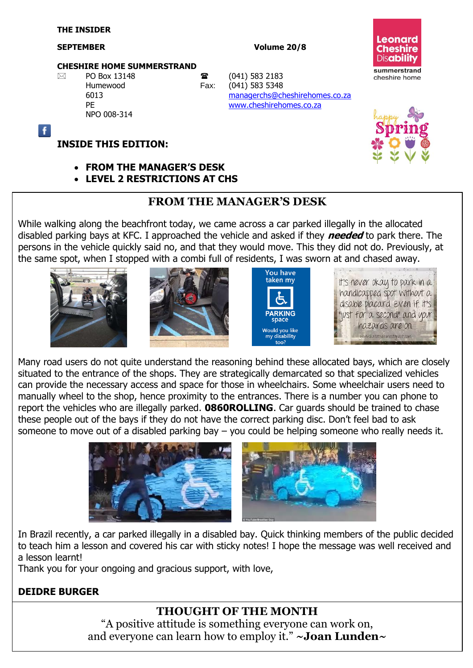Ŧ

#### **SEPTEMBER Volume 20/8**

#### **CHESHIRE HOME SUMMERSTRAND**

NPO 008-314

 $\boxtimes$  PO Box 13148 **a** (041) 583 2183 Humewood Fax: (041) 583 5348 6013 [managerchs@cheshirehomes.co.za](mailto:managerchs@cheshirehomes.co.za) PE [www.cheshirehomes.co.za](http://www.cheshirehomes.co.za/)





#### **FROM THE MANAGER'S DESK**

**LEVEL 2 RESTRICTIONS AT CHS**

#### **FROM THE MANAGER'S DESK**

While walking along the beachfront today, we came across a car parked illegally in the allocated disabled parking bays at KFC. I approached the vehicle and asked if they **needed** to park there. The persons in the vehicle quickly said no, and that they would move. This they did not do. Previously, at the same spot, when I stopped with a combi full of residents, I was sworn at and chased away.









Many road users do not quite understand the reasoning behind these allocated bays, which are closely situated to the entrance of the shops. They are strategically demarcated so that specialized vehicles can provide the necessary access and space for those in wheelchairs. Some wheelchair users need to manually wheel to the shop, hence proximity to the entrances. There is a number you can phone to report the vehicles who are illegally parked. **0860ROLLING**. Car guards should be trained to chase these people out of the bays if they do not have the correct parking disc. Don't feel bad to ask someone to move out of a disabled parking bay – you could be helping someone who really needs it.



In Brazil recently, a car parked illegally in a disabled bay. Quick thinking members of the public decided to teach him a lesson and covered his car with sticky notes! I hope the message was well received and a lesson learnt!

Thank you for your ongoing and gracious support, with love,

#### **DEIDRE BURGER**

#### **THOUGHT OF THE MONTH**

"A positive attitude is something everyone can work on, and everyone can learn how to employ it." **~Joan Lunden~**

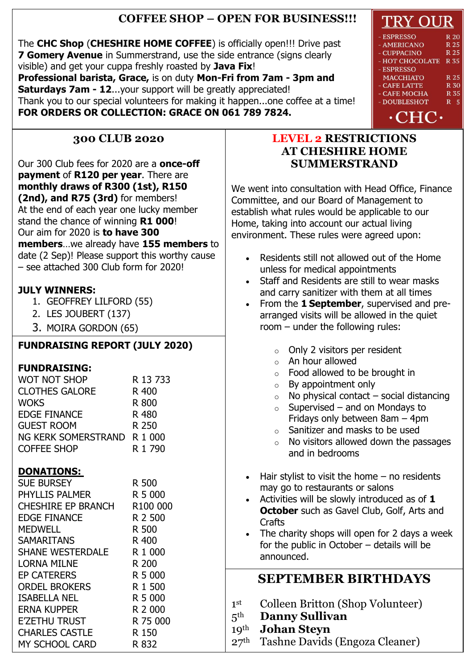### **COFFEE SHOP – OPEN FOR BUSINESS!!!**

The **CHC Shop** (**CHESHIRE HOME COFFEE**) is officially open!!! Drive past **7 Gomery Avenue** in Summerstrand, use the side entrance (signs clearly visible) and get your cuppa freshly roasted by **Java Fix**!

**Professional barista, Grace,** is on duty **Mon-Fri from 7am - 3pm and Saturdays 7am - 12**...your support will be greatly appreciated! Thank you to our special volunteers for making it happen...one coffee at a time! **FOR ORDERS OR COLLECTION: GRACE ON 061 789 7824.**

#### **300 CLUB 2020**

Our 300 Club fees for 2020 are a **once-off payment** of **R120 per year**. There are **monthly draws of R300 (1st), R150 (2nd), and R75 (3rd)** for members! At the end of each year one lucky member stand the chance of winning **R1 000**! Our aim for 2020 is **to have 300 members**…we already have **155 members** to date (2 Sep)! Please support this worthy cause – see attached 300 Club form for 2020!

#### **JULY WINNERS:**

- 1. GEOFFREY LILFORD (55)
- 2. LES JOUBERT (137)
- 3. MOIRA GORDON (65)

## **FUNDRAISING REPORT (JULY 2020)**

#### **FUNDRAISING:**

| R 13 733                    |
|-----------------------------|
| R 400                       |
| R 800                       |
| R 480                       |
| R 250                       |
| NG KERK SOMERSTRAND R 1 000 |
| R 1 790                     |
|                             |

#### **DONATIONS:**

| <b>SUE BURSEY</b>     | R 500                |
|-----------------------|----------------------|
| PHYLLIS PALMER        | R 5 000              |
| CHESHIRE EP BRANCH    | R <sub>100</sub> 000 |
| <b>EDGE FINANCE</b>   | R 2 500              |
| <b>MEDWELL</b>        | R 500                |
| <b>SAMARITANS</b>     | R 400                |
| SHANE WESTERDALE      | R 1 000              |
| <b>LORNA MILNE</b>    | R 200                |
| <b>EP CATERERS</b>    | R 5 000              |
| <b>ORDEL BROKERS</b>  | R 1 500              |
| <b>ISABELLA NEL</b>   | R 5 000              |
| <b>ERNA KUPPER</b>    | R 2 000              |
| <b>E'ZETHU TRUST</b>  | R 75 000             |
| <b>CHARLES CASTLE</b> | R 150                |
| <b>MY SCHOOL CARD</b> | R 832                |

#### **LEVEL 2 RESTRICTIONS AT CHESHIRE HOME SUMMERSTRAND**

We went into consultation with Head Office, Finance Committee, and our Board of Management to establish what rules would be applicable to our Home, taking into account our actual living environment. These rules were agreed upon:

- Residents still not allowed out of the Home unless for medical appointments
- Staff and Residents are still to wear masks and carry sanitizer with them at all times
- From the **1 September**, supervised and prearranged visits will be allowed in the quiet room – under the following rules:

| Only 2 visitors per resident<br>$\circ$<br>An hour allowed<br>$\circ$<br>Food allowed to be brought in<br>$\circ$<br>By appointment only<br>$\circ$<br>No physical contact $-$ social distancing<br>$\circ$<br>Supervised - and on Mondays to<br>$\circ$<br>Fridays only between 8am - 4pm<br>Sanitizer and masks to be used<br>$\circ$<br>$\circ$ No visitors allowed down the passages<br>and in bedrooms |
|-------------------------------------------------------------------------------------------------------------------------------------------------------------------------------------------------------------------------------------------------------------------------------------------------------------------------------------------------------------------------------------------------------------|
| Hair stylist to visit the home $-$ no residents                                                                                                                                                                                                                                                                                                                                                             |
| may go to restaurants or salons<br>Activities will be slowly introduced as of 1                                                                                                                                                                                                                                                                                                                             |
| <b>October</b> such as Gavel Club, Golf, Arts and                                                                                                                                                                                                                                                                                                                                                           |
| Crafts                                                                                                                                                                                                                                                                                                                                                                                                      |
| The charity shops will open for 2 days a week                                                                                                                                                                                                                                                                                                                                                               |
| for the public in October $-$ details will be                                                                                                                                                                                                                                                                                                                                                               |
| announced.                                                                                                                                                                                                                                                                                                                                                                                                  |
| <b>SEPTEMBER BIRTHDAYS</b>                                                                                                                                                                                                                                                                                                                                                                                  |
|                                                                                                                                                                                                                                                                                                                                                                                                             |
| Colleen Britton (Shop Volunteer)                                                                                                                                                                                                                                                                                                                                                                            |

- 1 st Colleen Britton (Shop Volunteer)
- 5th **Danny Sullivan**
- 19th **Johan Steyn**
- 27th Tashne Davids (Engoza Cleaner)

# TRY OUR

#### **ESPRESSO**  $R<sub>20</sub>$ **AMERICANO** R 25 R 25 **CUPPACINO** HOT CHOCOLATE R 35 **ESPRESSO MACCHIATO** R 25 **CAFE LATTE R 30 CAFE MOCHA R35** - DOUBLESHOT R 5  $\cdot$ CHC $\cdot$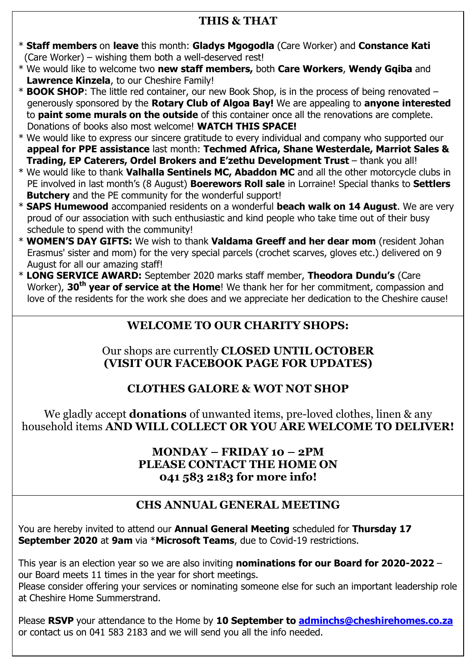#### **THIS & THAT**

- \* **Staff members** on **leave** this month: **Gladys Mgogodla** (Care Worker) and **Constance Kati** (Care Worker) – wishing them both a well-deserved rest!
- \* We would like to welcome two **new staff members,** both **Care Workers**, **Wendy Gqiba** and  **Lawrence Kinzela**, to our Cheshire Family!
- \* **BOOK SHOP**: The little red container, our new Book Shop, is in the process of being renovated generously sponsored by the **Rotary Club of Algoa Bay!** We are appealing to **anyone interested** to **paint some murals on the outside** of this container once all the renovations are complete. Donations of books also most welcome! **WATCH THIS SPACE!**
- \* We would like to express our sincere gratitude to every individual and company who supported our **appeal for PPE assistance** last month: **Techmed Africa, Shane Westerdale, Marriot Sales & Trading, EP Caterers, Ordel Brokers and E'zethu Development Trust** – thank you all!
- \* We would like to thank **Valhalla Sentinels MC, Abaddon MC** and all the other motorcycle clubs in PE involved in last month's (8 August) **Boerewors Roll sale** in Lorraine! Special thanks to **Settlers Butchery** and the PE community for the wonderful support!
- \* **SAPS Humewood** accompanied residents on a wonderful **beach walk on 14 August**. We are very proud of our association with such enthusiastic and kind people who take time out of their busy schedule to spend with the community!
- \* **WOMEN'S DAY GIFTS:** We wish to thank **Valdama Greeff and her dear mom** (resident Johan Erasmus' sister and mom) for the very special parcels (crochet scarves, gloves etc.) delivered on 9 August for all our amazing staff!
- \* **LONG SERVICE AWARD:** September 2020 marks staff member, **Theodora Dundu's** (Care Worker), **30th year of service at the Home**! We thank her for her commitment, compassion and love of the residents for the work she does and we appreciate her dedication to the Cheshire cause!

## **WELCOME TO OUR CHARITY SHOPS:**

#### Our shops are currently **CLOSED UNTIL OCTOBER (VISIT OUR FACEBOOK PAGE FOR UPDATES)**

## **CLOTHES GALORE & WOT NOT SHOP**

We gladly accept **donations** of unwanted items, pre-loved clothes, linen & any household items **AND WILL COLLECT OR YOU ARE WELCOME TO DELIVER!**

#### **MONDAY – FRIDAY 10 – 2PM PLEASE CONTACT THE HOME ON 041 583 2183 for more info!**

## **CHS ANNUAL GENERAL MEETING**

You are hereby invited to attend our **Annual General Meeting** scheduled for **Thursday 17 September 2020** at **9am** via \***Microsoft Teams**, due to Covid-19 restrictions.

This year is an election year so we are also inviting **nominations for our Board for 2020-2022** – our Board meets 11 times in the year for short meetings.

Please consider offering your services or nominating someone else for such an important leadership role at Cheshire Home Summerstrand.

Please **RSVP** your attendance to the Home by **10 September to [adminchs@cheshirehomes.co.za](mailto:adminchs@cheshirehomes.co.za)** or contact us on 041 583 2183 and we will send you all the info needed.